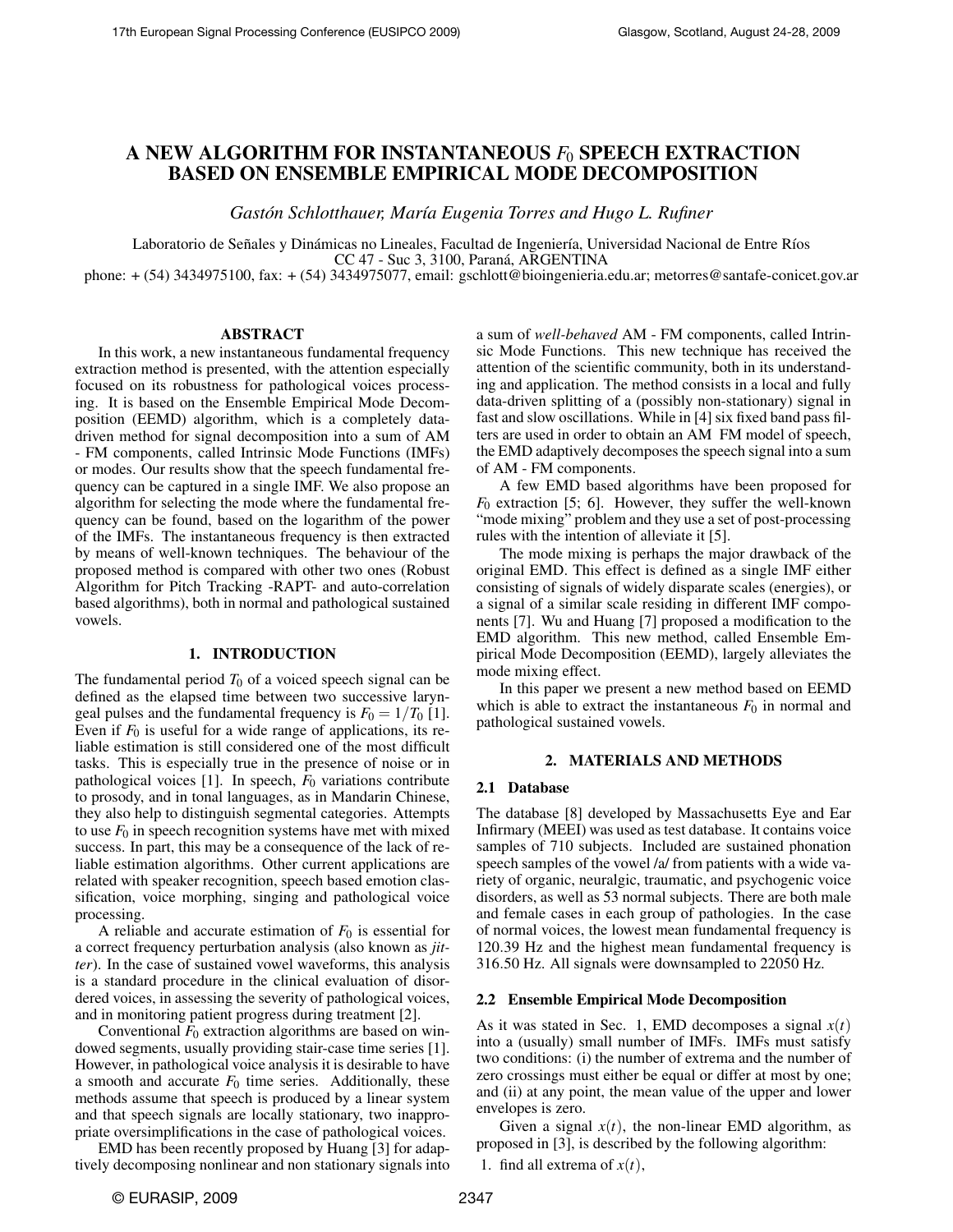# A NEW ALGORITHM FOR INSTANTANEOUS *F*<sup>0</sup> SPEECH EXTRACTION BASED ON ENSEMBLE EMPIRICAL MODE DECOMPOSITION

*Gastón Schlotthauer, María Eugenia Torres and Hugo L. Rufiner* 

Laboratorio de Señales y Dinámicas no Lineales, Facultad de Ingeniería, Universidad Nacional de Entre Ríos CC 47 - Suc 3, 3100, Parana, ARGENTINA ´

phone: + (54) 3434975100, fax: + (54) 3434975077, email: gschlott@bioingenieria.edu.ar; metorres@santafe-conicet.gov.ar

## ABSTRACT

In this work, a new instantaneous fundamental frequency extraction method is presented, with the attention especially focused on its robustness for pathological voices processing. It is based on the Ensemble Empirical Mode Decomposition (EEMD) algorithm, which is a completely datadriven method for signal decomposition into a sum of AM - FM components, called Intrinsic Mode Functions (IMFs) or modes. Our results show that the speech fundamental frequency can be captured in a single IMF. We also propose an algorithm for selecting the mode where the fundamental frequency can be found, based on the logarithm of the power of the IMFs. The instantaneous frequency is then extracted by means of well-known techniques. The behaviour of the proposed method is compared with other two ones (Robust Algorithm for Pitch Tracking -RAPT- and auto-correlation based algorithms), both in normal and pathological sustained vowels.

## 1. INTRODUCTION

The fundamental period  $T_0$  of a voiced speech signal can be defined as the elapsed time between two successive laryngeal pulses and the fundamental frequency is  $F_0 = 1/T_0$  [1]. Even if  $F_0$  is useful for a wide range of applications, its reliable estimation is still considered one of the most difficult tasks. This is especially true in the presence of noise or in pathological voices [1]. In speech,  $F_0$  variations contribute to prosody, and in tonal languages, as in Mandarin Chinese, they also help to distinguish segmental categories. Attempts to use  $F_0$  in speech recognition systems have met with mixed success. In part, this may be a consequence of the lack of reliable estimation algorithms. Other current applications are related with speaker recognition, speech based emotion classification, voice morphing, singing and pathological voice processing.

A reliable and accurate estimation of  $F_0$  is essential for a correct frequency perturbation analysis (also known as *jitter*). In the case of sustained vowel waveforms, this analysis is a standard procedure in the clinical evaluation of disordered voices, in assessing the severity of pathological voices, and in monitoring patient progress during treatment [2].

Conventional  $F_0$  extraction algorithms are based on windowed segments, usually providing stair-case time series [1]. However, in pathological voice analysis it is desirable to have a smooth and accurate  $F_0$  time series. Additionally, these methods assume that speech is produced by a linear system and that speech signals are locally stationary, two inappropriate oversimplifications in the case of pathological voices.

EMD has been recently proposed by Huang [3] for adaptively decomposing nonlinear and non stationary signals into a sum of *well-behaved* AM - FM components, called Intrinsic Mode Functions. This new technique has received the attention of the scientific community, both in its understanding and application. The method consists in a local and fully data-driven splitting of a (possibly non-stationary) signal in fast and slow oscillations. While in [4] six fixed band pass filters are used in order to obtain an AM FM model of speech, the EMD adaptively decomposes the speech signal into a sum of AM - FM components.

A few EMD based algorithms have been proposed for *F*<sup>0</sup> extraction [5; 6]. However, they suffer the well-known "mode mixing" problem and they use a set of post-processing rules with the intention of alleviate it [5].

The mode mixing is perhaps the major drawback of the original EMD. This effect is defined as a single IMF either consisting of signals of widely disparate scales (energies), or a signal of a similar scale residing in different IMF components [7]. Wu and Huang [7] proposed a modification to the EMD algorithm. This new method, called Ensemble Empirical Mode Decomposition (EEMD), largely alleviates the mode mixing effect.

In this paper we present a new method based on EEMD which is able to extract the instantaneous  $F_0$  in normal and pathological sustained vowels.

## 2. MATERIALS AND METHODS

## 2.1 Database

The database [8] developed by Massachusetts Eye and Ear Infirmary (MEEI) was used as test database. It contains voice samples of 710 subjects. Included are sustained phonation speech samples of the vowel /a/ from patients with a wide variety of organic, neuralgic, traumatic, and psychogenic voice disorders, as well as 53 normal subjects. There are both male and female cases in each group of pathologies. In the case of normal voices, the lowest mean fundamental frequency is 120.39 Hz and the highest mean fundamental frequency is 316.50 Hz. All signals were downsampled to 22050 Hz.

## 2.2 Ensemble Empirical Mode Decomposition

As it was stated in Sec. 1, EMD decomposes a signal  $x(t)$ into a (usually) small number of IMFs. IMFs must satisfy two conditions: (i) the number of extrema and the number of zero crossings must either be equal or differ at most by one; and (ii) at any point, the mean value of the upper and lower envelopes is zero.

Given a signal  $x(t)$ , the non-linear EMD algorithm, as proposed in [3], is described by the following algorithm:

1. find all extrema of  $x(t)$ ,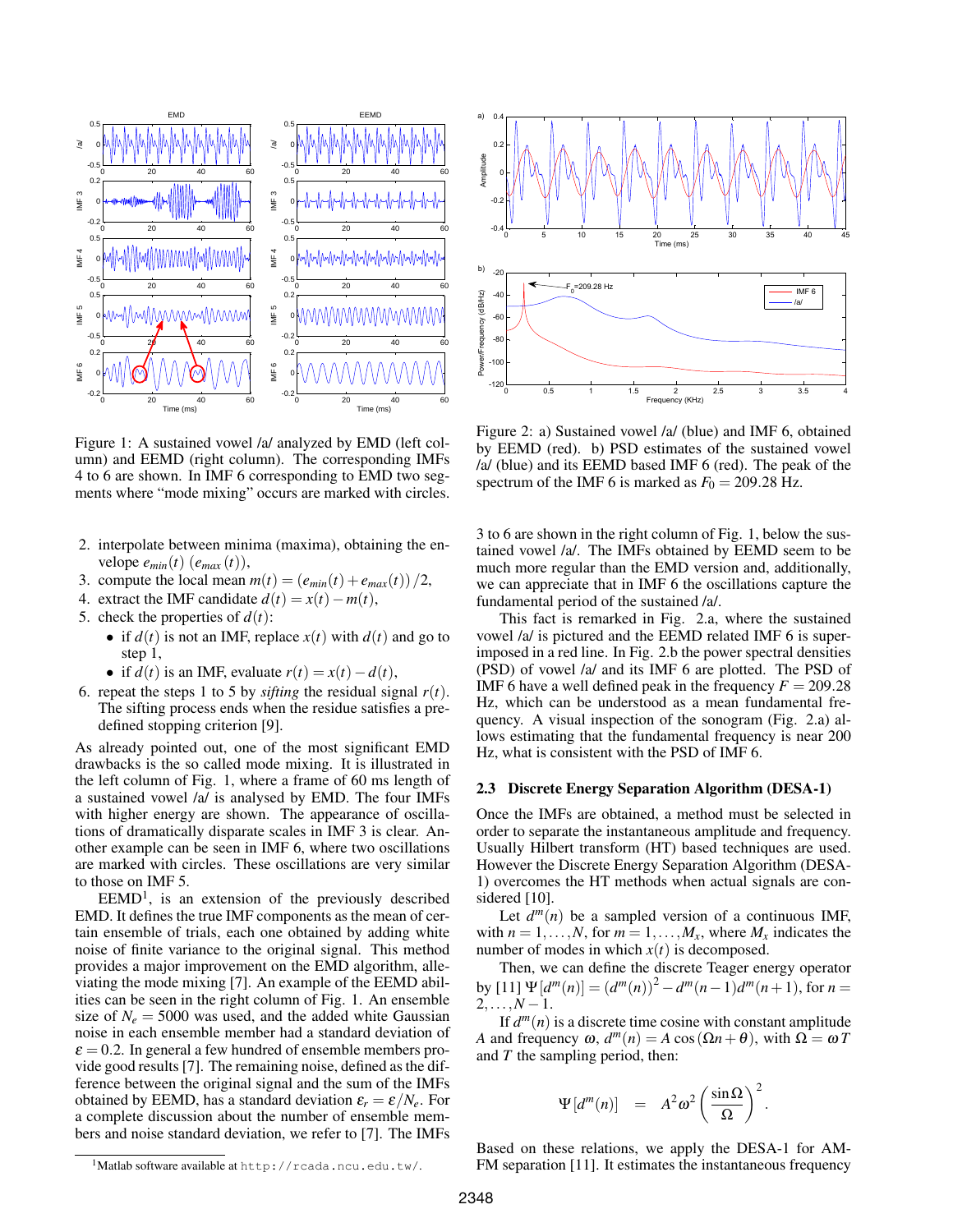

a) 0.4 0.2 Amplitude  $\overline{0}$  $\overline{0}$  $-0.4$ 0 5 10 15 20 25 30 35 40 45 Time (ms) b)  $-21$ F<sub>0</sub>=209.28 Hz IMF 6 Power/Frequency (dB/Hz) Power/Frequency (dB/Hz) -40 /a/  $-60$ -80 -100  $-120$ 0 0.5 1 1.5 2 2.5 3 3.5 4 Frequency (KHz)

Figure 1: A sustained vowel /a/ analyzed by EMD (left column) and EEMD (right column). The corresponding IMFs 4 to 6 are shown. In IMF 6 corresponding to EMD two segments where "mode mixing" occurs are marked with circles.

- 2. interpolate between minima (maxima), obtaining the envelope  $e_{min}(t)$  ( $e_{max}(t)$ ),
- 3. compute the local mean  $m(t) = (e_{min}(t) + e_{max}(t))/2$ ,
- 4. extract the IMF candidate  $d(t) = x(t) m(t)$ ,
- 5. check the properties of  $d(t)$ :
	- if  $d(t)$  is not an IMF, replace  $x(t)$  with  $d(t)$  and go to step 1,
	- if  $d(t)$  is an IMF, evaluate  $r(t) = x(t) d(t)$ ,
- 6. repeat the steps 1 to 5 by *sifting* the residual signal  $r(t)$ . The sifting process ends when the residue satisfies a predefined stopping criterion [9].

As already pointed out, one of the most significant EMD drawbacks is the so called mode mixing. It is illustrated in the left column of Fig. 1, where a frame of 60 ms length of a sustained vowel /a/ is analysed by EMD. The four IMFs with higher energy are shown. The appearance of oscillations of dramatically disparate scales in IMF 3 is clear. Another example can be seen in IMF 6, where two oscillations are marked with circles. These oscillations are very similar to those on IMF 5.

 $EEMD<sup>1</sup>$ , is an extension of the previously described EMD. It defines the true IMF components as the mean of certain ensemble of trials, each one obtained by adding white noise of finite variance to the original signal. This method provides a major improvement on the EMD algorithm, alleviating the mode mixing [7]. An example of the EEMD abilities can be seen in the right column of Fig. 1. An ensemble size of  $N_e = 5000$  was used, and the added white Gaussian noise in each ensemble member had a standard deviation of  $\varepsilon$  = 0.2. In general a few hundred of ensemble members provide good results [7]. The remaining noise, defined as the difference between the original signal and the sum of the IMFs obtained by EEMD, has a standard deviation  $\varepsilon_r = \varepsilon / N_e$ . For a complete discussion about the number of ensemble members and noise standard deviation, we refer to [7]. The IMFs 3 to 6 are shown in the right column of Fig. 1, below the sustained vowel /a/. The IMFs obtained by EEMD seem to be much more regular than the EMD version and, additionally, we can appreciate that in IMF 6 the oscillations capture the fundamental period of the sustained /a/.

Figure 2: a) Sustained vowel /a/ (blue) and IMF 6, obtained by EEMD (red). b) PSD estimates of the sustained vowel /a/ (blue) and its EEMD based IMF 6 (red). The peak of the spectrum of the IMF 6 is marked as  $F_0 = 209.28$  Hz.

This fact is remarked in Fig. 2.a, where the sustained vowel /a/ is pictured and the EEMD related IMF 6 is superimposed in a red line. In Fig. 2.b the power spectral densities (PSD) of vowel /a/ and its IMF 6 are plotted. The PSD of IMF 6 have a well defined peak in the frequency  $F = 209.28$ Hz, which can be understood as a mean fundamental frequency. A visual inspection of the sonogram (Fig. 2.a) allows estimating that the fundamental frequency is near 200 Hz, what is consistent with the PSD of IMF 6.

## 2.3 Discrete Energy Separation Algorithm (DESA-1)

Once the IMFs are obtained, a method must be selected in order to separate the instantaneous amplitude and frequency. Usually Hilbert transform (HT) based techniques are used. However the Discrete Energy Separation Algorithm (DESA-1) overcomes the HT methods when actual signals are considered [10].

Let  $d^m(n)$  be a sampled version of a continuous IMF, with  $n = 1, \ldots, N$ , for  $m = 1, \ldots, M_x$ , where  $M_x$  indicates the number of modes in which  $x(t)$  is decomposed.

Then, we can define the discrete Teager energy operator by  $[11] \Psi[d^{m}(n)] = (d^{m}(n))^{2} - d^{m}(n-1)d^{m}(n+1)$ , for  $n =$  $2, \ldots, N-1$ .

If  $d^m(n)$  is a discrete time cosine with constant amplitude *A* and frequency  $\omega$ ,  $d^m(n) = A \cos(\Omega n + \theta)$ , with  $\Omega = \omega T$ and *T* the sampling period, then:

$$
\Psi[d^m(n)] = A^2 \omega^2 \left( \frac{\sin \Omega}{\Omega} \right)^2.
$$

Based on these relations, we apply the DESA-1 for AM-FM separation [11]. It estimates the instantaneous frequency

 $1$ Matlab software available at http://rcada.ncu.edu.tw/.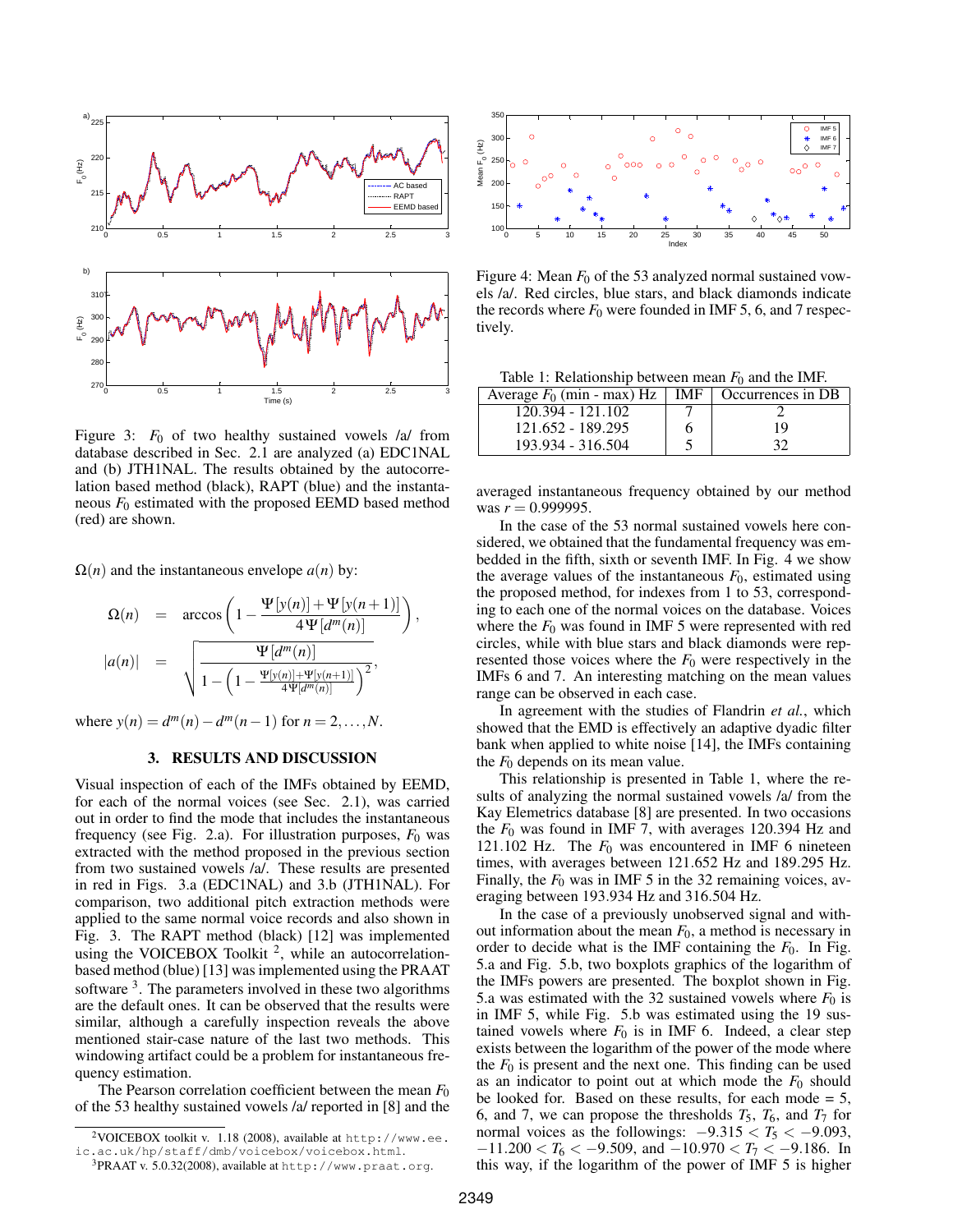

Figure 3:  $F_0$  of two healthy sustained vowels /a/ from database described in Sec. 2.1 are analyzed (a) EDC1NAL and (b) JTH1NAL. The results obtained by the autocorrelation based method (black), RAPT (blue) and the instantaneous *F*<sup>0</sup> estimated with the proposed EEMD based method (red) are shown.

 $\Omega(n)$  and the instantaneous envelope  $a(n)$  by:

$$
\Omega(n) = \arccos\left(1 - \frac{\Psi[y(n)] + \Psi[y(n+1)]}{4\Psi[d^m(n)]}\right)
$$

$$
|a(n)| = \sqrt{\frac{\Psi[d^m(n)]}{1 - \left(1 - \frac{\Psi[y(n)] + \Psi[y(n+1)]}{4\Psi[d^m(n)]}\right)^2}},
$$

,

where  $y(n) = d^m(n) - d^m(n-1)$  for  $n = 2, ..., N$ .

## 3. RESULTS AND DISCUSSION

Visual inspection of each of the IMFs obtained by EEMD, for each of the normal voices (see Sec. 2.1), was carried out in order to find the mode that includes the instantaneous frequency (see Fig. 2.a). For illustration purposes,  $F_0$  was extracted with the method proposed in the previous section from two sustained vowels /a/. These results are presented in red in Figs. 3.a (EDC1NAL) and 3.b (JTH1NAL). For comparison, two additional pitch extraction methods were applied to the same normal voice records and also shown in Fig. 3. The RAPT method (black) [12] was implemented using the VOICEBOX Toolkit<sup>2</sup>, while an autocorrelationbased method (blue) [13] was implemented using the PRAAT software  $3$ . The parameters involved in these two algorithms are the default ones. It can be observed that the results were similar, although a carefully inspection reveals the above mentioned stair-case nature of the last two methods. This windowing artifact could be a problem for instantaneous frequency estimation.

The Pearson correlation coefficient between the mean  $F_0$ of the 53 healthy sustained vowels /a/ reported in [8] and the



Figure 4: Mean  $F_0$  of the 53 analyzed normal sustained vowels /a/. Red circles, blue stars, and black diamonds indicate the records where  $F_0$  were founded in IMF 5, 6, and 7 respectively.

Table 1: Relationship between mean  $F_0$  and the IMF.

| Average $F_0$ (min - max) Hz | IMF | Occurrences in DB |
|------------------------------|-----|-------------------|
| 120.394 - 121.102            |     |                   |
| 121.652 - 189.295            | h   | 19                |
| 193.934 - 316.504            |     | 32                |

averaged instantaneous frequency obtained by our method was  $r = 0.999995$ .

In the case of the 53 normal sustained vowels here considered, we obtained that the fundamental frequency was embedded in the fifth, sixth or seventh IMF. In Fig. 4 we show the average values of the instantaneous  $F_0$ , estimated using the proposed method, for indexes from 1 to 53, corresponding to each one of the normal voices on the database. Voices where the  $F_0$  was found in IMF 5 were represented with red circles, while with blue stars and black diamonds were represented those voices where the  $F_0$  were respectively in the IMFs 6 and 7. An interesting matching on the mean values range can be observed in each case.

In agreement with the studies of Flandrin *et al.*, which showed that the EMD is effectively an adaptive dyadic filter bank when applied to white noise [14], the IMFs containing the *F*<sup>0</sup> depends on its mean value.

This relationship is presented in Table 1, where the results of analyzing the normal sustained vowels /a/ from the Kay Elemetrics database [8] are presented. In two occasions the *F*<sup>0</sup> was found in IMF 7, with averages 120.394 Hz and 121.102 Hz. The  $F_0$  was encountered in IMF 6 nineteen times, with averages between 121.652 Hz and 189.295 Hz. Finally, the  $F_0$  was in IMF 5 in the 32 remaining voices, averaging between 193.934 Hz and 316.504 Hz.

In the case of a previously unobserved signal and without information about the mean  $F_0$ , a method is necessary in order to decide what is the IMF containing the  $F_0$ . In Fig. 5.a and Fig. 5.b, two boxplots graphics of the logarithm of the IMFs powers are presented. The boxplot shown in Fig. 5.a was estimated with the 32 sustained vowels where  $F_0$  is in IMF 5, while Fig. 5.b was estimated using the 19 sustained vowels where  $F_0$  is in IMF 6. Indeed, a clear step exists between the logarithm of the power of the mode where the  $F_0$  is present and the next one. This finding can be used as an indicator to point out at which mode the  $F_0$  should be looked for. Based on these results, for each mode  $= 5$ , 6, and 7, we can propose the thresholds  $T_5$ ,  $T_6$ , and  $T_7$  for normal voices as the followings:  $-9.315 < T_5 < -9.093$ ,  $-11.200 < T_6 < -9.509$ , and  $-10.970 < T_7 < -9.186$ . In this way, if the logarithm of the power of IMF 5 is higher

<sup>&</sup>lt;sup>2</sup>VOICEBOX toolkit v. 1.18 (2008), available at http://www.ee. ic.ac.uk/hp/staff/dmb/voicebox/voicebox.html.

 $3$ PRAAT v. 5.0.32(2008), available at http://www.praat.org.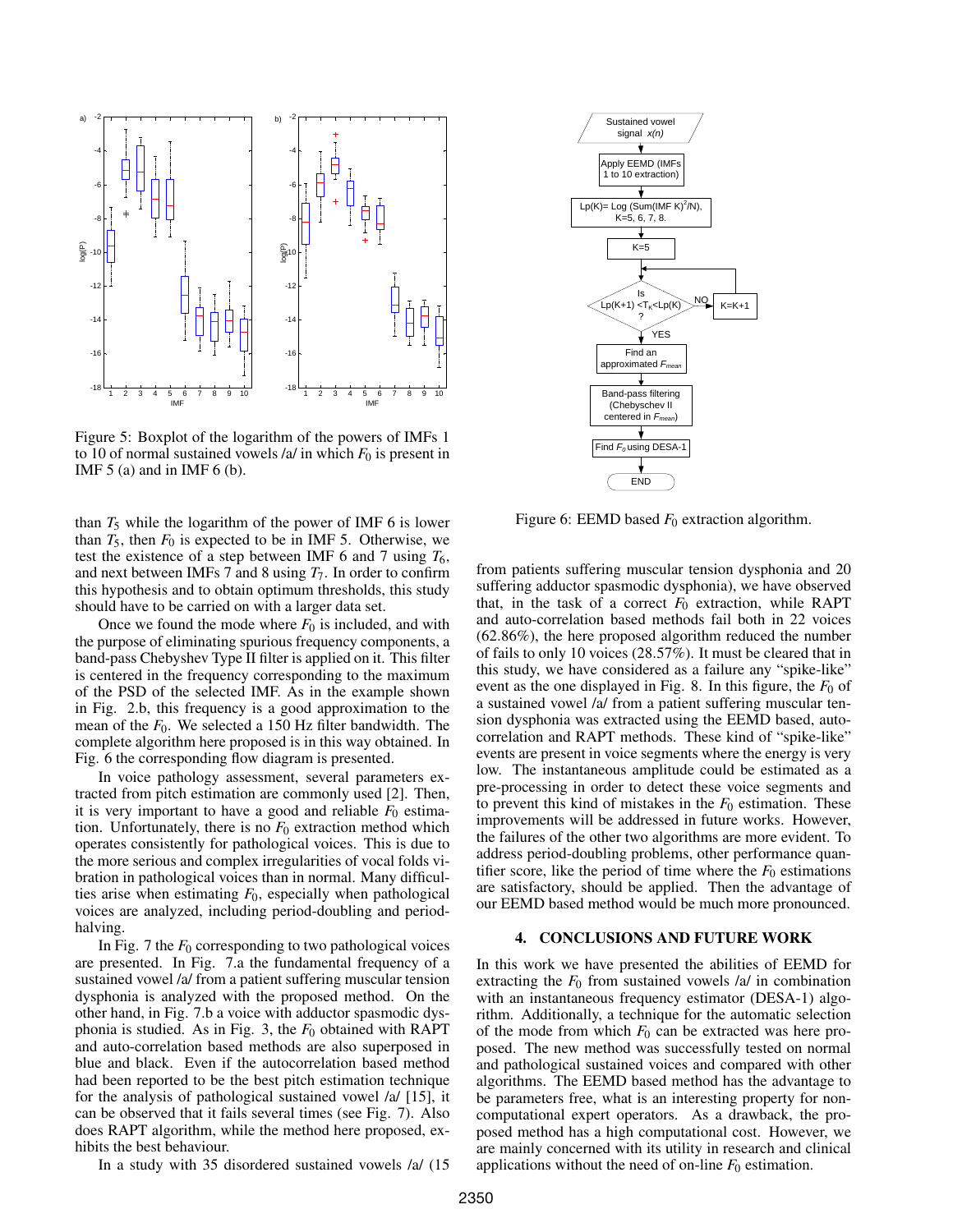

Figure 5: Boxplot of the logarithm of the powers of IMFs 1 to 10 of normal sustained vowels  $/a$  in which  $F_0$  is present in IMF  $5$  (a) and in IMF  $6$  (b).

than  $T_5$  while the logarithm of the power of IMF 6 is lower than  $T_5$ , then  $F_0$  is expected to be in IMF 5. Otherwise, we test the existence of a step between IMF 6 and 7 using  $T_6$ , and next between IMFs 7 and 8 using *T*7. In order to confirm this hypothesis and to obtain optimum thresholds, this study should have to be carried on with a larger data set.

Once we found the mode where  $F_0$  is included, and with the purpose of eliminating spurious frequency components, a band-pass Chebyshev Type II filter is applied on it. This filter is centered in the frequency corresponding to the maximum of the PSD of the selected IMF. As in the example shown in Fig. 2.b, this frequency is a good approximation to the mean of the  $F_0$ . We selected a 150 Hz filter bandwidth. The complete algorithm here proposed is in this way obtained. In Fig. 6 the corresponding flow diagram is presented.

In voice pathology assessment, several parameters extracted from pitch estimation are commonly used [2]. Then, it is very important to have a good and reliable  $F_0$  estimation. Unfortunately, there is no  $F_0$  extraction method which operates consistently for pathological voices. This is due to the more serious and complex irregularities of vocal folds vibration in pathological voices than in normal. Many difficulties arise when estimating  $F_0$ , especially when pathological voices are analyzed, including period-doubling and periodhalving.

In Fig. 7 the  $F_0$  corresponding to two pathological voices are presented. In Fig. 7.a the fundamental frequency of a sustained vowel /a/ from a patient suffering muscular tension dysphonia is analyzed with the proposed method. On the other hand, in Fig. 7.b a voice with adductor spasmodic dysphonia is studied. As in Fig. 3, the  $F_0$  obtained with RAPT and auto-correlation based methods are also superposed in blue and black. Even if the autocorrelation based method had been reported to be the best pitch estimation technique for the analysis of pathological sustained vowel /a/ [15], it can be observed that it fails several times (see Fig. 7). Also does RAPT algorithm, while the method here proposed, exhibits the best behaviour.

In a study with 35 disordered sustained vowels /a/ (15



Figure 6: EEMD based  $F_0$  extraction algorithm.

from patients suffering muscular tension dysphonia and 20 suffering adductor spasmodic dysphonia), we have observed that, in the task of a correct  $F_0$  extraction, while RAPT and auto-correlation based methods fail both in 22 voices (62.86%), the here proposed algorithm reduced the number of fails to only 10 voices (28.57%). It must be cleared that in this study, we have considered as a failure any "spike-like" event as the one displayed in Fig. 8. In this figure, the  $F_0$  of a sustained vowel /a/ from a patient suffering muscular tension dysphonia was extracted using the EEMD based, autocorrelation and RAPT methods. These kind of "spike-like" events are present in voice segments where the energy is very low. The instantaneous amplitude could be estimated as a pre-processing in order to detect these voice segments and to prevent this kind of mistakes in the  $F_0$  estimation. These improvements will be addressed in future works. However, the failures of the other two algorithms are more evident. To address period-doubling problems, other performance quantifier score, like the period of time where the  $F_0$  estimations are satisfactory, should be applied. Then the advantage of our EEMD based method would be much more pronounced.

## 4. CONCLUSIONS AND FUTURE WORK

In this work we have presented the abilities of EEMD for extracting the  $F_0$  from sustained vowels  $\alpha$  in combination with an instantaneous frequency estimator (DESA-1) algorithm. Additionally, a technique for the automatic selection of the mode from which  $F_0$  can be extracted was here proposed. The new method was successfully tested on normal and pathological sustained voices and compared with other algorithms. The EEMD based method has the advantage to be parameters free, what is an interesting property for noncomputational expert operators. As a drawback, the proposed method has a high computational cost. However, we are mainly concerned with its utility in research and clinical applications without the need of on-line  $F_0$  estimation.